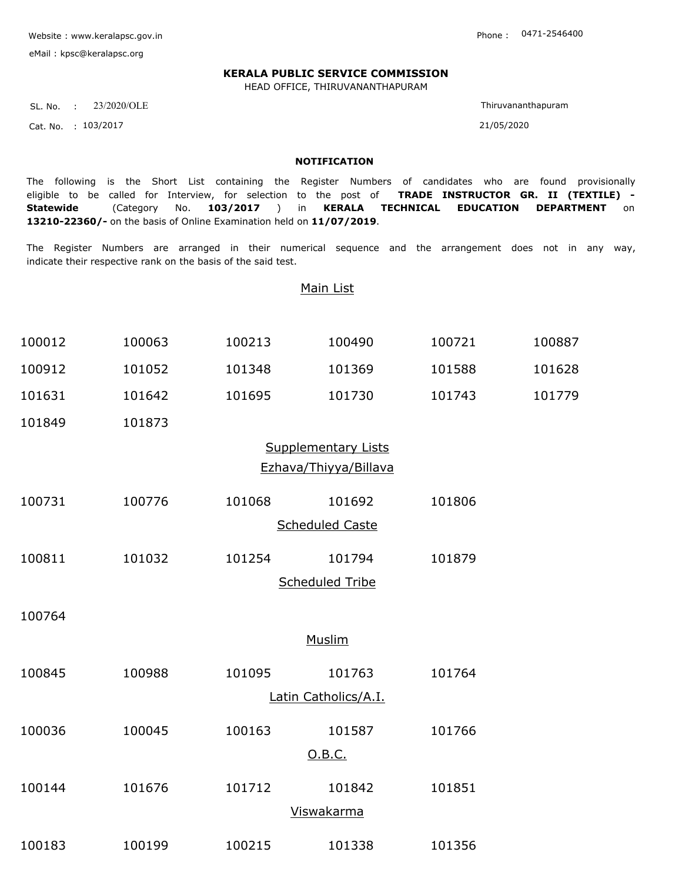Website : www.keralapsc.gov.in

eMail : kpsc@keralapsc.org

0471-2546400

## **KERALA PUBLIC SERVICE COMMISSION**

HEAD OFFICE, THIRUVANANTHAPURAM

SL. No. : 23/2020/OLE

Cat. No. 103/2017 21/05/2020 :

Thiruvananthapuram

## **NOTIFICATION**

The following is the Short List containing the Register Numbers of candidates who are found provisionally eligible to be called for Interview, for selection to the post of **TRADE INSTRUCTOR GR. II (TEXTILE) - Statewide** (Category No. **103/2017** ) in **KERALA TECHNICAL EDUCATION DEPARTMENT** on **13210-22360/-** on the basis of Online Examination held on **11/07/2019**.

The Register Numbers are arranged in their numerical sequence and the arrangement does not in any way, indicate their respective rank on the basis of the said test.

|                            |        |        | Main List              |        |        |  |  |  |  |  |
|----------------------------|--------|--------|------------------------|--------|--------|--|--|--|--|--|
| 100012                     | 100063 | 100213 | 100490                 | 100721 | 100887 |  |  |  |  |  |
| 100912                     | 101052 | 101348 | 101369                 | 101588 | 101628 |  |  |  |  |  |
| 101631                     | 101642 | 101695 | 101730                 | 101743 | 101779 |  |  |  |  |  |
| 101849                     | 101873 |        |                        |        |        |  |  |  |  |  |
| <b>Supplementary Lists</b> |        |        |                        |        |        |  |  |  |  |  |
| Ezhava/Thiyya/Billava      |        |        |                        |        |        |  |  |  |  |  |
| 100731                     | 100776 | 101068 | 101692                 | 101806 |        |  |  |  |  |  |
| <b>Scheduled Caste</b>     |        |        |                        |        |        |  |  |  |  |  |
| 100811                     | 101032 | 101254 | 101794                 | 101879 |        |  |  |  |  |  |
|                            |        |        | <b>Scheduled Tribe</b> |        |        |  |  |  |  |  |
| 100764                     |        |        |                        |        |        |  |  |  |  |  |
| <b>Muslim</b>              |        |        |                        |        |        |  |  |  |  |  |
| 100845                     | 100988 | 101095 | 101763                 | 101764 |        |  |  |  |  |  |
| Latin Catholics/A.I.       |        |        |                        |        |        |  |  |  |  |  |
| 100036                     | 100045 | 100163 | 101587                 | 101766 |        |  |  |  |  |  |
|                            |        |        | O.B.C.                 |        |        |  |  |  |  |  |
| 100144                     | 101676 | 101712 | 101842                 | 101851 |        |  |  |  |  |  |
|                            |        |        | <b>Viswakarma</b>      |        |        |  |  |  |  |  |

100183 100199 100215 101338 101356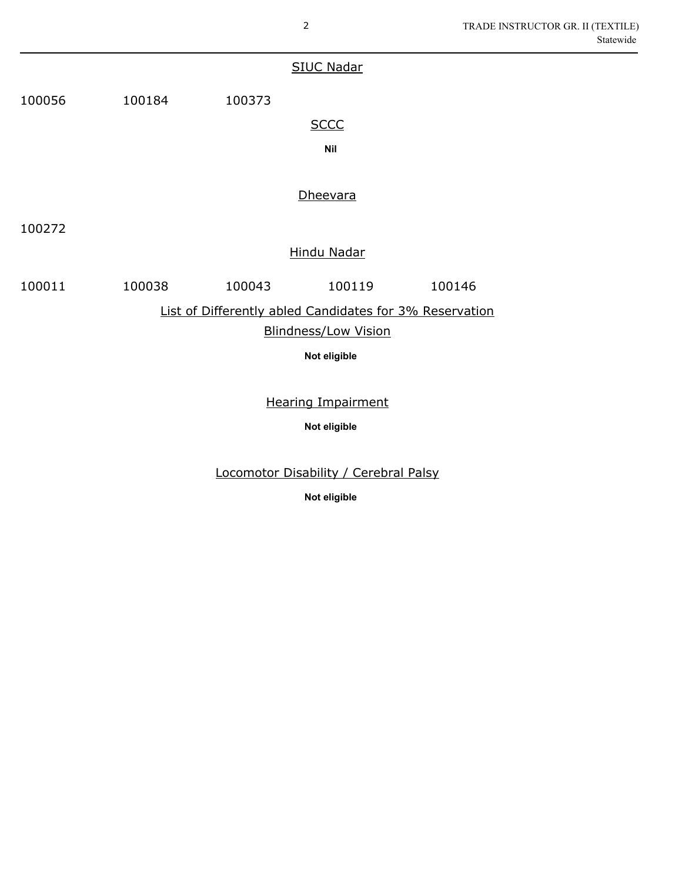|                                                         |            |        | <b>SIUC Nadar</b> |        |  |  |  |  |  |  |  |
|---------------------------------------------------------|------------|--------|-------------------|--------|--|--|--|--|--|--|--|
| 100056                                                  | 100184     | 100373 |                   |        |  |  |  |  |  |  |  |
|                                                         |            |        | <b>SCCC</b>       |        |  |  |  |  |  |  |  |
|                                                         | <b>Nil</b> |        |                   |        |  |  |  |  |  |  |  |
|                                                         |            |        |                   |        |  |  |  |  |  |  |  |
|                                                         |            |        | Dheevara          |        |  |  |  |  |  |  |  |
| 100272                                                  |            |        |                   |        |  |  |  |  |  |  |  |
| <b>Hindu Nadar</b>                                      |            |        |                   |        |  |  |  |  |  |  |  |
| 100011                                                  | 100038     | 100043 | 100119            | 100146 |  |  |  |  |  |  |  |
| List of Differently abled Candidates for 3% Reservation |            |        |                   |        |  |  |  |  |  |  |  |
| <b>Blindness/Low Vision</b>                             |            |        |                   |        |  |  |  |  |  |  |  |
| Not eligible                                            |            |        |                   |        |  |  |  |  |  |  |  |
|                                                         |            |        |                   |        |  |  |  |  |  |  |  |
| <b>Hearing Impairment</b>                               |            |        |                   |        |  |  |  |  |  |  |  |

**Not eligible**

Locomotor Disability / Cerebral Palsy

**Not eligible**